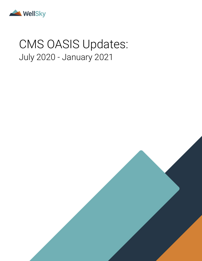

# CMS OASIS Updates: July 2020 - January 2021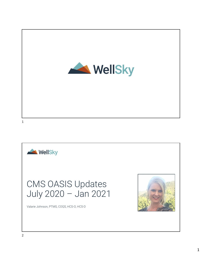

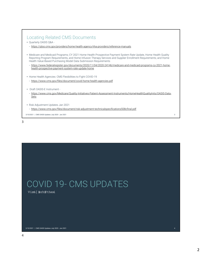| Locating Related CMS Documents<br>• Quarterly OASIS Q&A -<br>- https://gtso.cms.gov/providers/home-health-agency-hha-providers/reference-manuals                                                                                                                                                                                                                                                                                                                                   |  |
|------------------------------------------------------------------------------------------------------------------------------------------------------------------------------------------------------------------------------------------------------------------------------------------------------------------------------------------------------------------------------------------------------------------------------------------------------------------------------------|--|
| • Medicare and Medicaid Programs; CY 2021 Home Health Prospective Payment System Rate Update, Home Health Quality<br>Reporting Program Requirements, and Home Infusion Therapy Services and Supplier Enrollment Requirements; and Home<br>Health Value-Based Purchasing Model Data Submission Requirements<br>- https://www.federalregister.gov/documents/2020/11/04/2020-24146/medicare-and-medicaid-programs-cy-2021-home-<br>health-prospective-payment-system-rate-update-home |  |
| • Home Health Agencies: CMS Flexibilities to Fight COVID-19<br>- https://www.cms.gov/files/document/covid-home-health-agencies.pdf                                                                                                                                                                                                                                                                                                                                                 |  |
| Draft OASIS-E Instrument -<br>$\bullet$<br>- https://www.cms.gov/Medicare/Quality-Initiatives-Patient-Assessment-Instruments/HomeHealthQualityInits/OASIS-Data-<br>Sets                                                                                                                                                                                                                                                                                                            |  |
| • Risk Adjustment Updates Jan 2021<br>- https://www.cms.gov/files/document/risk-adjustment-technicalspecifications508cfinal.pdf<br>3/10/2021   CMS OASIS Updates July 2020 - Jan 2021                                                                                                                                                                                                                                                                                              |  |

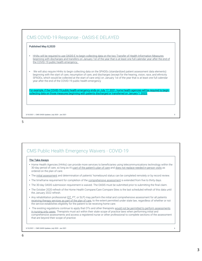| Published May 8,2020                                                                                                                                                                                                                                                                                                                                                                                                                     |
|------------------------------------------------------------------------------------------------------------------------------------------------------------------------------------------------------------------------------------------------------------------------------------------------------------------------------------------------------------------------------------------------------------------------------------------|
| HHAs will be required to use OASIS-E to begin collecting data on the two Transfer of Health Information Measures<br>beginning with discharges and transfers on January 1st of the year that is at least one full calendar year after the end of<br>the COVID-19 public health emergency.                                                                                                                                                 |
| We will also require HHAs to begin collecting data on the SPADEs (standardized patient assessment data elements)<br>beginning with the start of care, resumption of care, and discharges (except for the hearing, vision, race, and ethnicity<br>SPADEs, which would be collected at the start of care only) on January 1st of the year that is at least one full calendar<br>year after the end of the COVID-19 public health emergency |
| For example, if the COVID-19 public health emergency ends on July 17, 2021, home health agencies will be required to begin<br>collecting data on those measures beginning with patients discharged or transferred on January 1, 2023.                                                                                                                                                                                                    |
|                                                                                                                                                                                                                                                                                                                                                                                                                                          |

## CMS Public Health Emergency Waivers - COVID-19

## The Take-Aways

- Home Health Agencies (HHAs) can provide more services to beneficiaries using telecommunications technology within the 30-day period of care, so long as it's part of the patient's plan of care and does not replace needed in-person visits as ordered on the plan of care.
- The initial assessment and determination of patients' homebound status can be completed remotely or by record review.
- The timeframe requirement for completion of the comprehensive assessment is extended from five to thirty days.
- The 30-day OASIS submission requirement is waived. The OASIS must be submitted prior to submitting the final claim.
- The October 2020 refresh of the Home Health Compare/Care Compare Sites is the last scheduled refresh of this data until the January 2022 refresh.
- Any rehabilitation professional (OT, PT, or SLP) may perform the initial and comprehensive assessment for all patients receiving therapy services as part of the plan of care, to the extent permitted under state law, regardless of whether or not the service establishes eligibility for the patient to be receiving home care.
- The existing regulations continue to apply that OTs and other therapists would not be permitted to perform assessments in nursing only cases. Therapists must act within their state scope of practice laws when performing initial and comprehensive assessments and access a registered nurse or other professional to complete sections of the assessment that are beyond their scope of practice.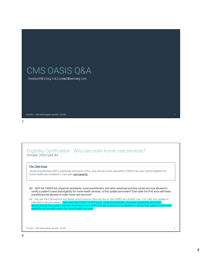# CMS OASIS Q&A

Gexiksv}\$1Gsqtvilirwmzi\$wwiwwqirx

7

## Eligibility Certification - Who can order home care services? October 2020 Q&A #4

## The Take-Away

Nurse practitioners (NPs), physician assistants (PAs), and clinical nurse specialists (CNSs) can now certify eligibility for home health and establish a care plan **permanently**.

| CMS OASIS Updates July 2020 - Jan 2021 7 3/10/2021

Q4. With the CARES Act, physician assistants, nurse practitioners, and other advanced practice nurses are now allowed to certify a patient's need and eligibility for home health services. Is this update permanent? Even after the PHE ends will these practitioners be allowed to order home care services?

A4. Yes, per the Coronavirus Aid, Relief, and Economic Security Act or the CARES Act (Public Law 116-136), this update is intended to be permanent. Even after the COVID-19 PHE ends, nurse practitioners, physician assistants and other advanced practice nurses that are identified in the CARES Act will continue to be allowed to certify their patient's need and eligibility and provide orders for home health services.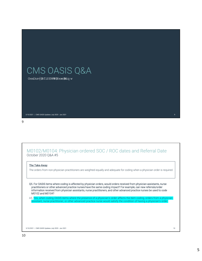# CMS OASIS Q&A

Gexiksv}\$8f1SEWW\\$Hexe\$Miqw

## M0102/M0104: Physician ordered SOC / ROC dates and Referral Date October 2020 Q&A #5

| CMS OASIS Updates July 2020 - Jan 2021 9 3/10/2021

## The Take-Away

The orders from non-physician practitioners are weighted equally and adequate for coding when a physician order is required.

Q5. For OASIS items where coding is affected by physician orders, would orders received from physician assistants, nurse practitioners or other advanced practice nurses have the same coding impact? For example, can new referrals/order information received from physician assistants, nurse practitioners, and other advanced practice nurses be used to code M0102 and M0104?

A5. Yes, when coding OASIS items where the presence of a physician's order affects the item coding, orders from a physician assistant, nurse practitioner, or other advanced practice nurse would satisfy the condition of having a physician's order.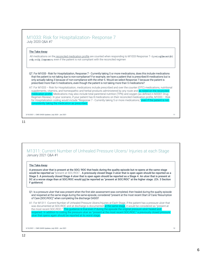## M1033: Risk for Hospitalization- Response 7 July 2020 Q&A #7

The Take-Away

All medications on the reconciled medication profile are counted when responding to M1033 Response 7- Gywirxp \$earrk\$\$ sv& svi& ihmgexmsrw, even if the patient is not compliant with the reconciled regimen

Q7. For M1033 - Risk for Hospitalization, Response 7 - Currently taking 5 or more medications, does this include medications that the patient is not taking due to non-compliance? For example, we have a patient that is prescribed 8 medications but is only actually taking 3 because of non-compliance with the other 5. Would we select Response 7 because the patient is prescribed more than 5 medications, even though the patient is not taking more than 5 medications?

A7: For M1033 – Risk for Hospitalization, medications include prescribed and over the counter (OTC) medications, nutritional supplements, vitamins, and homeopathic and herbal products administered by any route and as noted on the re ion profile. Medications may also include total parenteral nutrition (TPN) and oxygen (as defined in M2001 Drug Regimen Review). In your scenario, if your patient has 8 medications on their reconciled medication profile, M1033 – Risk for Hospitalization coding would include "Response 7 - Currently taking 5 or more medications," even if the patient is not stently taking the medication as prescribed.

3/10/2021 | CMS OASIS Updates July 2020 - Jan 2021 11

### 11

M1311: Current Number of Unhealed Pressure Ulcers/ Injuries at each Stage January 2021 Q&A #1

#### The Take-Away

A pressure ulcer that is present at the SOC/ ROC that heals during the quality episode but re-opens at the same stage would be reported as "present at SOC/ROC". A previously closed Stage 3 ulcer that is open again should be reported as a Stage 3. A previously closed Stage 4 ulcer that is open again should be reported as a Stage 4. An ulcer that is present at DC at a worse stage than at SOC/ROC would not be reported as "present at SOC/ROC" at the higher stage. (Ch. 3 Section F guidance)

Q1: Is a pressure ulcer that was present when the first skin assessment was completed, then healed during the quality episode and reopened at the same stage during the same episode, considered "present at the most recent Start of Care/ Resumption of Care (SOC/ROC)" when completing the discharge OASIS?

A1: For M1311 -Current Number of Unhealed Pressure Ulcers/Injuries at Each Stage, if the patient has a pressure ulcer that was documented at SOC/ROC and at discharge is documented at the same stage, it would be considered as "present at the most recent SOC/ROC." This guidance is true even if during the episode the original pressure ulcer healed and reopened. In addition to coding the pressure ulcer as "present at the most recent SOC/ROC," a previously closed pressure ulcer that opens again should be reported at its worst stage.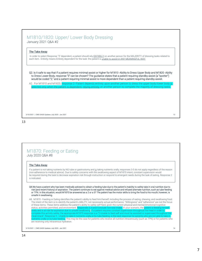## M1810/1820: Upper/ Lower Body Dressing January 2021 Q&A #2

### The Take-Away

In order to select Response "3" dependent, a patient should rely ENTIRELY on another person for the MAJORITY of dressing tasks related to each item. Entirely means Entirely dependent for the task- the patient is unable to assist in ANY MEANINGFUL WAY.

Q2. Is it safe to say that if a patient requires minimal assist or higher for M1810 -Ability to Dress Upper Body and M1820 -Ability to Dress Lower Body, response "3" can be chosen? The guidance states that a patient requiring standby assist (a "spotter") would be coded "2," and a patient requiring minimal assist is more dependent than a patient requiring standby assist.

A2. For M1810 and M1820, response 3 -Patient depends entirely upon another person to dress the upper body/lower body i<u>s</u> selected only when the patient is dependent, relying entirely on another person to complete the majority of dressing tasks.

3/10/2021 | CMS OASIS Updates July 2020 - Jan 2021 13

#### 13

## M1870: Feeding or Eating July 2020 Q&A #8

#### The Take-Away

If a patient is not taking nutrients by NG tube or gastrostomy and is taking nutrients orally, responses 3-5 do not apply regardless of the reason (non-adherence to medical advice). Due to safety concerns with the swallowing aspect of M1870 intent, constant supervision would be required during the task to decrease aspiration risk through instruction or respond to emergent needs during the task of eating. Response 2 is indicated.

- Q8.We have a patient who has been medically advised to obtain a feeding tube due to the patient's inability to safely take in oral nutrition due to risk (and recent history) of aspiration. The patient continues to eat against medical advice and refused alternate nutrition, such as tube feeding or TPN. In this situation, would M1870 be answered as a 2 or a 5? The patient has the motor skills to bring the food to his mouth; however, is unsafe in swallowing.
- A8. M1870 Feeding or Eating identifies the patient's ability to feed him/herself, including the process of eating, chewing, and swallowing food. The intent of the item is to identify the patient's ABILITY, not necessarily actual performance. "Willingness" and "adherence" are not the focus of these items. These items address the patient's ability to safely self-feed, given the current physical and mental/emotional/cognitive status, activities permitted, and environment. Responses 3, 4 and 5 include non-oral intake. In your scenario, the patient is feeding himself orally and is at risk for aspiration due to unsafe swallowing. If a patient requires constant supervision throughout the meal in order to complete this activity safely, the appropriate M1870 response is a "2-Unable to feed self and must be assisted or supervised throughout the meal/snack". Response 5 - Unable to take in nutrients orally or by tube feeding, is the best response for patients who are not able to take in nutrients orally or by tube feeding. This may be the case for patients who receive all nutrition intravenously (such as TPN) or for patients who are receiving only intravenous hydration.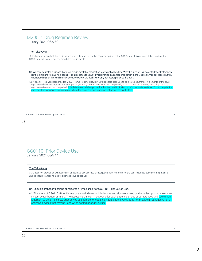## M2001: Drug Regimen Review January 2021 Q&A #3

#### The Take-Away

A dash must be available for clinician use where the dash is a valid response option for the OASIS item. It is not acceptable to adjust the OASIS data set to meet agency mandated requirements.

Q3. We have educated clinicians that it is a requirement that medication reconciliation be done. With this in mind, is it acceptable to electronically restrict clinicians from using a dash (–) as a response to M2001 by eliminating it as a response option in the Electronic Medical Record (EMR), understanding that there still may be scenarios where the dash is the only correct response to this item?

A3: A dash (–) is a valid response for M2001 - Drug Regimen Review. CMS expects dash use to be a rare occurrence. If elements of the drug regimen review were skipped, (for example drug-to-drug interactions were not completed), a dash should be reported, indicating the drug regimen review was not completed. A dash is also a valid response for this item and indicates no information is available. To be compl se where the dash is a valid response option for the OASIS item.

3/10/2021 | CMS OASIS Updates July 2020 - Jan 2021 15

#### 15

## GG0110- Prior Device Use January 2021 Q&A #4

### The Take-Away

CMS does not provide an exhaustive list of assistive devices, use clinical judgement to determine the best response based on the patient's unique circumstances related to prior assistive device use.

### Q4. Should a transport chair be considered a "wheelchair" for GG0110 - Prior Device Use?

A4. The intent of GG0110 - Prior Device Use is to indicate which devices and aids were used by the patient prior to the current illness, exacerbation, or injury. The assessing clinician must consider each patient's unique circumstances and use clinical udgment to determine how prior device use applies for each individual patient. CMS does not provide an exhaustive list of assistive devices that may be used when coding prior device use.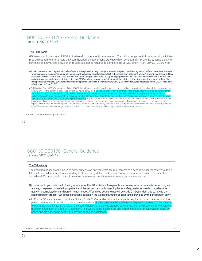## GG0130,GG0170- General Guidance October 2020 Q&A #7

## The Take-Away

GG items should be scored PRIOR to the benefit of therapeutic intervention. The clinical judgement of the assessing clinician may be required to differentiate between therapeutic interventions provided which benefit and improve the patient's ability to complete an activity and provision of routine assistance required to complete the activity safely. (from July 2019 Q&A #18)

Q7. We understand that if a patient initially refuses to attempt a GG activity during the assessment period, and later agrees to perform the activity, the code which represents the patient's actual performance will supersede the refusal code (07). If the clinical staff determine on day 1 or day 2 that the patient has a safety or medical issue which prevents them from attempting an activity, but on day 3 has progressed to the point where he/she can now perform the activity, would that code supersede the earlier code (88)? A patient may not be safe to attempt the activity on day 1 (their baseline prior to the benefit of therapeutic interventions), but after two days of therapy, may then be safe to perform the activity. Which code would be reported on the OASIS: code 88 or a Performance Code 06-01?

A7. At Start of Care (SOC)/Resumption of Care (ROC), the self-care or mobility performance code is to reflect the patient's baseline ability to complete the activity, prior to the benefit of services provided by your agency staff. <mark>Use of an "activity not attempted" code should occur only after determining that</mark><br>the activity is not completed prior to the benefit of services, a laboration with other agency staff, or assessment of similar activities. "Prior to the benefit of services n more independent coding. In your scenario, if the patient's baseline status prior to the benefit of services was that the activity could not be completed due to a medical or safety concern and the performance code could not be determined based on patient/caregiver report, collaboration with other agency staff, or assessment of a similar activity, code 88 – Not attempted due to medical conditions or safety concerns, even if the patient's status changes and he is able to complete the activity on a later day during the assessment period.

3/10/2021 | CMS OASIS Updates July 2020 - Jan 2021 17

## 17

## GG0130,GG0170- General Guidance January 2021 Q&A #7

### The Take-Away

The definition of assistance includes cues/ supervision and therefore the requirement of a second helper for safety would be taken into consideration when responding to GG items, by definition if help of 2 or more helpers is required the patient is considered 01- dependent. This is true even in ambulation question assessments. (January 2020 Q&A #15)

Q7. How would you code the following scenario for the GG activities: Two people are present when a patient is performing an activity; one person is assisting a patient and the second person is standing by for safety/assist as needed but when the activity is completed the 2nd person is not needed. Would you code the activity as Code 01 -Dependent due to having the second person present just in case or a code based on the type and amount of assistance provided by the one person only?

A7. For the GG self-care and mobility activities, Code 01 -Dependent is when a helper is required to do all the effort and the patient does none of the effort to complete the activity; or the assistance of two or more helpers is required for the patient to complete the activity. If the role of the second helper is to provide standby assistance, then the presence of two helpers meets the definition of Code 01 -Dependent. This would be true even if the 2nd helper was there for supervision/stand by assist and did not end up needing to provide hands on assistance.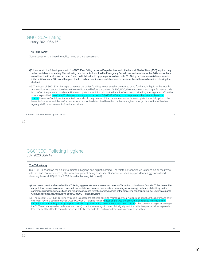## GG0130A- Eating

January 2021 Q&A #5

## The Take-Away

Score based on the baseline ability noted at the assessment.

Q5. How would the following scenario for GG0130A - Eating be coded? A patient was admitted and at Start of Care (SOC) required only set up assistance for eating. The following day, the patient went to the Emergency Department and returned within 24 hours with an overall decline in status and an order for no oral intake due to dysphagia. Would we code 05 - Setup or clean-up assistance based on initial ability or code 88 - Not attempted due to medical conditions or safety concerns because this is the new baseline following the decline?

A5. The intent of GG0130A - Eating is to assess the patient's ability to use suitable utensils to bring food and/or liquid to the mouth and swallow food and/or liquid once the meal is placed before the patient. At SOC/ROC, the self-care or mobility performance code is to reflect the patient's baseline ability to complete the activity, prior to the benefit of services provided by your agency staff. In the scenario provided, use Code 05 -Setup or clean-up assistance for GG0130A - Eating if this i status. Use of an "activity not attempted" code should only be used if the patient was not able to complete the activity prior to the benefit of services and the performance code cannot be determined based on patient/caregiver report, collaboration with other agency staff, or assessment of similar activities.

3/10/2021 | CMS OASIS Updates July 2020 - Jan 2021 19

#### 19

## GG0130C- Toileting Hygiene July 2020 Q&A #9

#### The Take-Away

GG0130C is based on the ability to maintain hygiene and adjust clothing. The "clothing" considered is based on all the items relevant and routinely worn by the individual patient being assessed. Guidance includes support devices are considered dressing items. (HHQRP Nov 2018 Provider Training #40 / #41)

Q9. We have a question about GG0130C - Toileting Hygiene. We have a patient who wears a Thoracic-Lumbar-Sacral Orthosis (TLSO) brace. She can pull down her underwear and pants without assistance. However, she insists on removing (or loosening) the brace while sitting on the commode prior cleaning herself and she requires assistance with the doffing/donning of the brace. She can then pull up her underwear/pants without assistance. How should we code GG0130C -Toileting Hygiene?

A9. The intent of GG0130C- Toileting hygiene is to assess the patient's ability to maintain perineal hygiene and adjust clothes before and after voiding or having a bowel movement. Code GG0130C- Toileting Hygiene based on the type and amount of as leting hygiene, and adjusting any clothing relevant to the individual patient (in this case removing or loosening of the TLSO and managing her underwear and pants). If in the assessing clinician's clinical judgment, the patient requires a helper to provide less than half the effort to complete the entire activity, then code 03 - partial/moderate assistance, or if the patient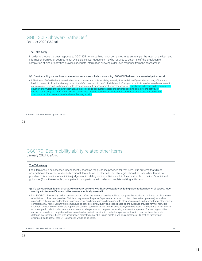## GG0130E- Shower/ Bathe Self October 2020 Q&A #6

#### The Take-Away

In order to choose the best response to GG0130E, when bathing is not completed in its entirety per the intent of the item and information from other sources is not available, clinical judgement may be required to determine if the simulation or completion of similar activities provides adequate information allowing a deduced response from the assessment.

#### Q6. Does the bathing/shower have to be an actual wet shower or bath, or can coding of GG0130E be based on a simulated performance?

A6. The intent of GG0130E – Shower/Bathe self is to assess the patient's ability to wash, rinse and dry self (excludes washing of back and hair). It does not include transferring in/out of a tub/shower, or onto or off of a tub bench. Coding of an activity may be based on observation, patient/caregiver report, collaboration with other agency staff, or assessment of similar activities. Use clinical judgment to det situation of simulating the shower/bath allows the clinician to adequately assess the patient's ability to complete the activity of shower/bathe self (GG0130E). If the clinician determines that this observation is adequate, code based on the type and amount of sistance required to complete the shower/bathing activity.

3/10/2021 | CMS OASIS Updates July 2020 - Jan 2021 21

### 21

## GG0170- Bed mobility ability related other items January 2021 Q&A #6

#### The Take-Away

Each item should be assessed independently based on the guidance provided for that item. It is prefered that direct observation is the mode to assess functional items, however other relevant strategies should be used when that is not possible. This would include clinician judgement in relating similar activities within the constraints of the item's individual guidance. (As in the example that a patient must participate in order to complete walking activities)

#### Q6. If a patient is dependent for all GG0170 bed mobility activities, would it be acceptable to code the patient as dependent for all other GG0170 mobility activities even if those activities were not specifically assessed?

A6: At SOC/ROC, the mobility performance code is to reflect the patient's baseline ability to complete the activity, and is based on observation of activities, to the extent possible. Clinicians may assess the patient's performance based on direct observation (preferred) as well as reports from the patient and/or family, assessment of similar activities, collaboration with other agency staff, and other relevant strategies to complete all GG items. Each OASIS item should be considered individually and coded based on the guidance provided for that item. It is important to determine whether the appropriate code for each activity is a performance code (including code 01 -Dependent) vs. an "activity not attempted" code. It is also important to note that a helper cannot complete the walking activities for a patient. The walking activities cannot be considered completed without some level of patient participation that allows patient ambulation to occur the entire stated distance. For instance, if even with assistance a patient was not able to participate in walking a distance of 10 feet, an "activity not attempted" code (rather than 01 -Dependent) would be selected.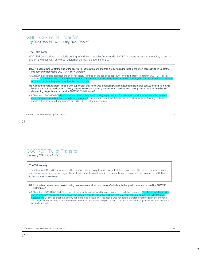## GG0170F- Toilet Transfer

July 2020 Q&A #10 & January 2021 Q&A #8

## The Take-Away

GG0170F coding does not include getting to and from the toilet/ commode. It ONLY includes assessing the ability to get on and off the toilet, with or without equipment, once the patient is there.

Q10. If a patient gets up off the side of the bed, walks to the bathroom, and then sits down on the toilet, is the effort necessary to lift up off the bed considered for coding GG0170F – Toilet transfer?

A10. No, in the scenario described the effort necessary to lift up off the bed does not count towards the toilet transfer in GG0170F – Toilet transfer. The intent of GG0170F – Toilet transfer is to assess the patient's ability to get on and off a toilet (with or without a raised toilet seat) de once the patient is at the toilet or commode.

Q8. A patient completes a toilet transfer with supervision only. As he was ambulating with contact guard assistance back to his bed, he lost his balance and required assistance to steady himself. Would the contact guard assist and assistance to steady himself be considered when determining the performance code for GG0170F -Toilet transfer?

A8. The intent of GG0170F -Toilet transfer is to assess the patient's ability to get on and off a toilet (with or v e once the patient is at the toilet or commode. In the scenario described, the assistance provided while ambulating to the bed should not be considered when coding the GG0170F -Toilet transfer activity.

3/10/2021 | CMS OASIS Updates July 2020 - Jan 2021 23

## 23

## GG0170F- Toilet Transfer January 2021 Q&A #9

## The Take-Away

The intent of GG0170F is to assess the patient's ability to get on and off a toilet or commode. The toilet transfer activity can be assessed and coded regardless of the patient's need to void or have a bowel movement in conjunction with the toilet transfer assessment.

Q9. If my patient does not need to void during my assessment, does this mean an "activity not attempted" code must be used for GG0170F - Toilet transfer?

A9. The intent of GG0170F -Toilet transfer is to assess the patient's ability to get on and off a toilet or commode. The Toilet trans can be assessed and coded regardless of the patient's need to void or have a bowel movement in conjunction with the toilet transfer assessment. Use the appropriate "activity not attempted" code, only if the patient was not able to transfer on/off the toilet or commode and the performance code cannot be determined based on patient/caregiver report, collaboration with other agency staff, or assessment of similar activities.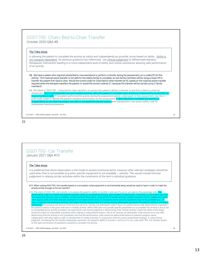## GG0170E- Chair/ Bed-to-Chair Transfer October 2020 Q&A #8

#### The Take-Away

In allowing the patient to complete the activity as safely and independently as possible, score based on ability. Ability is not caregiver dependent. As previous guidance has referenced, use clinical judgement to differentiate between therapeutic intervention leading to a more independent level of ability and routine assistance allowing safe performance of an activity.

Q8. We have a patient who required substantial to max assistance to perform a transfer during the assessment, so is coded 02 for this activity. This maximal assist transfer is not safe for the elderly family to complete, so two family members will be using a Hoyer lift to transfer the patient from bed to chair. Would the correct code for Chair/bed-to-chair transfer be 02, based on the maximal assist transfer required when the therapist transfers the patient; or would the correct code be 01, because the transfer will be carried out by 2 family members?

#### A8. The intent of GG0170E – Chair/bed-to-chair transfer is to assess the patient's ability to transfer to and from a bed to a chair (or wheelchair). When assessing self-care and mobility activities, allow the patient to co wheelchair). When assessing self-care and mobility activities, allow the patient to complete each activity as independently as possible, as long as he/she is safe. If the patient performed the activity during the assessment period, code based on that assessment. Use the 6 point scale codes to identify the patient's baseline performance on the assessment. If when allowed to complete the a dently as possible, the patient was able to complete the transfer activity with substantial to max assist safely, code 02-Substantial/maximal assistance.

3/10/2021 | CMS OASIS Updates July 2020 - Jan 2021 25

25

## GG0170G- Car Transfer January 2021 Q&A #10

#### The Take-Away

It is preferred that direct observation is the mode to assess functional items, however other relevant strategies should be used when that is not possible (e.g.when specific equipment is not available – vehicle). This would include clinician judgement in relating similar activities within the constraints of the item's individual guidance.

#### Q10. When coding GG0170G -Car transfer based on a simulation, what equipment or environmental setup would we need to have in order to make the activity similar enough to the car transfer?

A10. The intent of GG0170G -Car transfer is to assess the patient's ability to transfer in and out of a car or van seat on the passenger side. The rmance code is to reflect the patient's baseline ability to complete the activity, and is based on observation of activities, to the extent pos The assessing clinician may, as needed, combine general observation, assessment of similar activities, patient/caregiver report, collaboration with other agency staff, and other relevant strategies to complete all GG items. In situations where specific equipment may not be available (e.g., 12<br>steps, a vehicle), the assessing clinician may determine that assessment of steps, a vehicle), the assessing clinician may determine that assessment of a similar activity adequately represents the patient's ability to complete<br>the activity. This practice will serve to minimize the use of an "activ the patient's status in the given self-care or mobility activity. While CMS does not provide specific parameters or a complete list of what is and is not an acceptable proxy activity, providers are expected to use clinical judgment in determining if the "similar activity" meets the intent of the target activity to make it a reasonable substitute when making a coding determination. Use of an "activity not attempted" code should occur only after determining that the activity is not completed, and that the performance code cannot be determined based on patient/caregiver report,<br>collaboration with other agency staff, or assessment of similar activities, in conjuncti judgment, simulating the car transfer adequately represents the patient's ability to transfer in and out of a car, code GG0170G -Car transfer based on the type and amount of assistance required to complete the activity.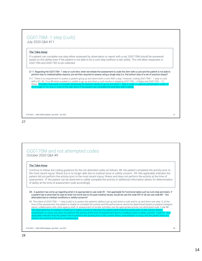## GG0170M- 1 step (curb)

July 2020 Q&A #11

## The Take-Away

If a patient can complete one step either assessed by observation or report with a rail, GG0170M should be answered based on this ability even if the patient is not able to do a curb step (without a rail) safely. This will allow responses in GG0170N and GG0170O to be collected.

Q 11. Regarding the GG0170M - 1 step or curb item, when we initiate the assessment to code this item with a curb and the patient is not able to perform due to medical/safety reasons, are we then required to assess using a single step (i.e. the bottom step of a set of practice steps)?

A11. There is no requirement to assess a patient going up and down both a curb AND a step. However, coding GG0170M – 1 step or curb with a 07, 09, 10 or 88 when a patient is unable to go up and down a curb results in skipping GG0170N - 4 Steps and GG0170O - 12 Steps. Providers may want to consider assessing the patient's ability to go up and down 1 step in order to capture 06 through 01 for one or more of the stair items if the patient can complete the activities with a railing.

3/10/2021 | CMS OASIS Updates July 2020 - Jan 2021 27

## 27

## GG0170M and not attempted codes October 2020 Q&A #9

## The Take-Away

Continue to follow the coding guidance for the not attemted codes as follows: 88- the patient completed the activity prior to the most recent injury/ illness but is no longer able due to medical issue or safety concern. 09- Not applicable indicates the patient did not perform the activity prior to the most recent injury/ illness and does not perform the activity at the time of assessment. IF the patient can be observed to safely complete the activity or additional information allows for determination of ability at the time of assessment code accordingly.

Q9. A question has come up regarding when it is appropriate to use code 09 – Not applicable for functional tasks such as curb step and stairs. If a patient has a ramp that he uses to enter his home due to his past medical issues, would we use the code 09? Or do we use code 88 – Not attempted due to medical conditions or safety concerns?

A9. The intent of GG0170M – 1 step (curb) is to assess the patient's ability to go up and down a curb and/or up and down one step. If, at the time of the assessment, the patient is unable to complete the activity and the performance cannot be determined based on patient/caregiver report, collaboration with other agency staff, or assessment of similar activities use the appropriate activity not attempted code. Code 88 - Not attempted due to medical conditions or safety concerns indicates the patient performed the activity prior to the current illness, exacerbation or injury, but does not perform the activity at the time of assessment due to a medical issue or safety concern. Code 09 - Not applicable indicates that the patient did not perform the activity prior to the current illness, exacerbation or injury and the patient does not perform the activity at the time of assessment.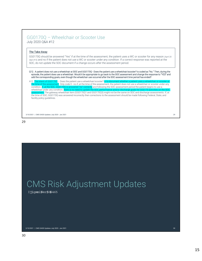## GG0170Q – Wheelchair or Scooter Use July 2020 Q&A #12

The Take-Away

GG0170Q should be answered "Yes" if at the time of the assessment, the patient uses a WC or scooter for any reason (April 20 Q&A #15) and no if the patient does not use a WC or scooter under any condition. If a correct response was reported at the SOC, do not update the SOC document if a change occurs after the assessment period.

Q12. A patient does not use a wheelchair at SOC and GG0170Q - Does the patient use a wheelchair/scooter? is coded as "No." Then, during the episode, the patient does use a wheelchair. Would it be appropriate to go back to the SOC assessment and change the response to "YES" and add the corresponding goals, even though the wheelchair use occurred after the SOC assessment time period has ended?

A12. The intent of GG0170Q – Does the patient use a wheelchair/scooter? is to c the time of the assessment. Only code 0 - no if, at the time of the assessment, the patient does not use a wheelchair or scooter under any condition. <mark>If, at the SOC, GG0170Q is answered "no" correctly</mark> and following the SOC assessment period the patient begins to use a wheelchair under any condition, <mark>there is no need to update the SOC performance and/or discharge goals for GG0170 activities on the SOC</mark> assessment. The gateway wheelchair item (GG0170Q1 and GG0170Q3) might not be the same on SOC and discharge assessments. If, at the time of SOC, GG0170Q was answered incorrectly then corrections to the assessment should be made following Federal, State, and facility policy guidelines.

3/10/2021 | CMS OASIS Updates July 2020 - Jan 2021 29

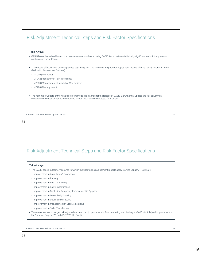